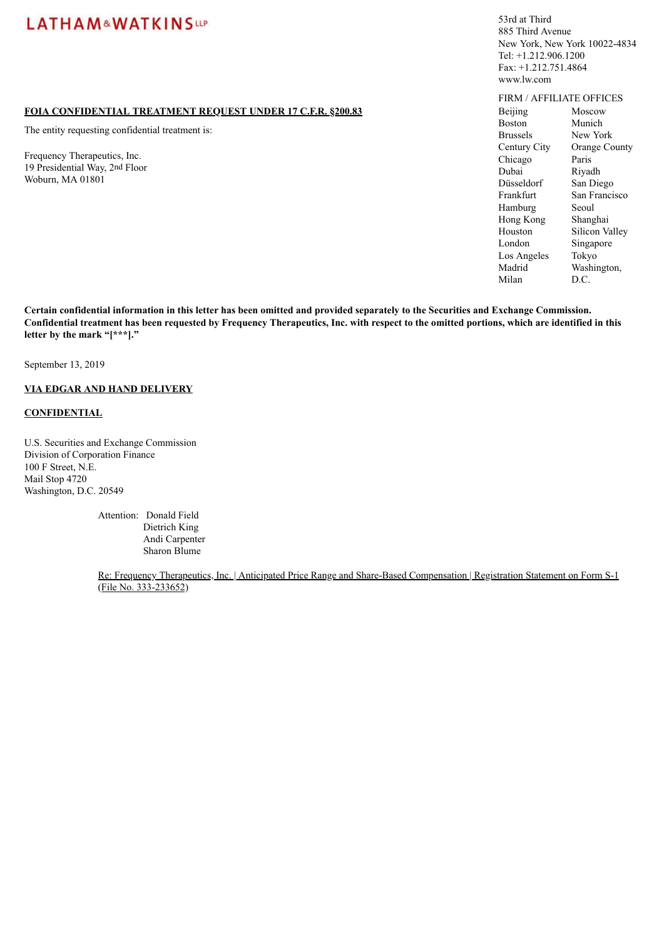### **FOIA CONFIDENTIAL TREATMENT REQUEST UNDER 17 C.F.R. §200.83**

The entity requesting confidential treatment is:

Frequency Therapeutics, Inc. 19 Presidential Way, 2nd Floor Woburn, MA 01801

53rd at Third 885 Third Avenue New York, New York 10022-4834 Tel: +1.212.906.1200 Fax: +1.212.751.4864 www.lw.com

FIRM / AFFILIATE OFFICES Beijing Boston Brussels Century City Chicago Dubai Düsseldorf Frankfurt Hamburg Hong Kong Houston London Los Angeles Madrid Milan Moscow Munich New York Orange County Paris Riyadh San Diego San Francisco Seoul Shanghai Silicon Valley Singapore Tokyo Washington, D.C.

Certain confidential information in this letter has been omitted and provided separately to the Securities and Exchange Commission. Confidential treatment has been requested by Frequency Therapeutics, Inc. with respect to the omitted portions, which are identified in this **letter by the mark "[\*\*\*]."**

September 13, 2019

## **VIA EDGAR AND HAND DELIVERY**

### **CONFIDENTIAL**

U.S. Securities and Exchange Commission Division of Corporation Finance 100 F Street, N.E. Mail Stop 4720 Washington, D.C. 20549

> Attention: Donald Field Dietrich King Andi Carpenter Sharon Blume

Re: Frequency Therapeutics, Inc. | Anticipated Price Range and Share-Based Compensation | Registration Statement on Form S-1 (File No. 333-233652)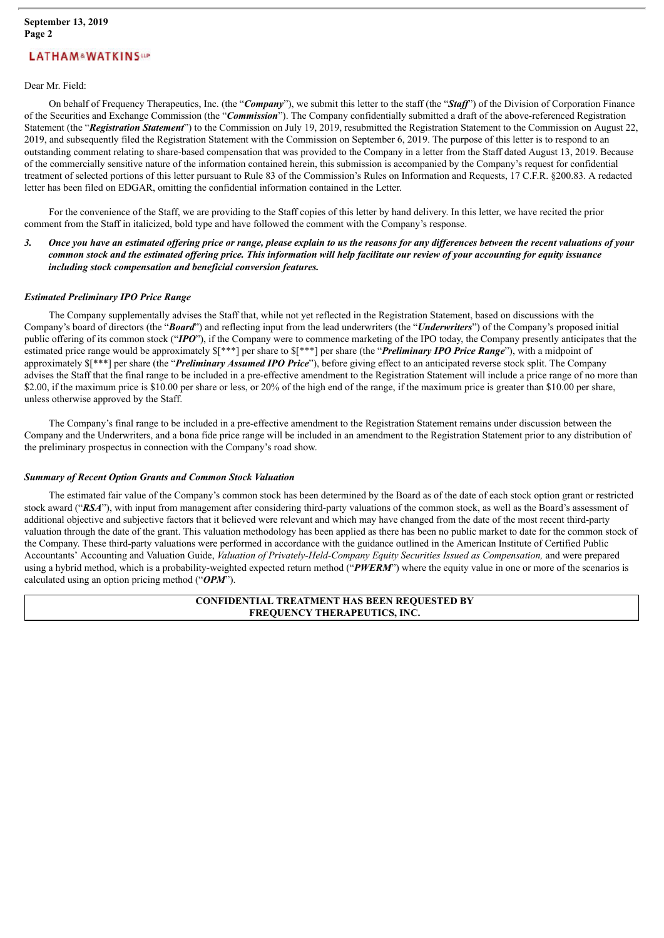#### Dear Mr. Field:

On behalf of Frequency Therapeutics, Inc. (the "*Company*"), we submit this letter to the staff (the "*Staf* ") of the Division of Corporation Finance of the Securities and Exchange Commission (the "*Commission*"). The Company confidentially submitted a draft of the above-referenced Registration Statement (the "*Registration Statement*") to the Commission on July 19, 2019, resubmitted the Registration Statement to the Commission on August 22, 2019, and subsequently filed the Registration Statement with the Commission on September 6, 2019. The purpose of this letter is to respond to an outstanding comment relating to share-based compensation that was provided to the Company in a letter from the Staff dated August 13, 2019. Because of the commercially sensitive nature of the information contained herein, this submission is accompanied by the Company's request for confidential treatment of selected portions of this letter pursuant to Rule 83 of the Commission's Rules on Information and Requests, 17 C.F.R. §200.83. A redacted letter has been filed on EDGAR, omitting the confidential information contained in the Letter.

For the convenience of the Staff, we are providing to the Staff copies of this letter by hand delivery. In this letter, we have recited the prior comment from the Staff in italicized, bold type and have followed the comment with the Company's response.

#### 3. Once you have an estimated offering price or range, please explain to us the reasons for any differences between the recent valuations of your common stock and the estimated offering price. This information will help facilitate our review of your accounting for equity issuance *including stock compensation and beneficial conversion features.*

#### *Estimated Preliminary IPO Price Range*

The Company supplementally advises the Staff that, while not yet reflected in the Registration Statement, based on discussions with the Company's board of directors (the "*Board*") and reflecting input from the lead underwriters (the "*Underwriters*") of the Company's proposed initial public offering of its common stock ("*IPO*"), if the Company were to commence marketing of the IPO today, the Company presently anticipates that the estimated price range would be approximately \$[\*\*\*] per share to \$[\*\*\*] per share (the "*Preliminary IPO Price Range*"), with a midpoint of approximately \$[\*\*\*] per share (the "*Preliminary Assumed IPO Price*"), before giving effect to an anticipated reverse stock split. The Company advises the Staff that the final range to be included in a pre-effective amendment to the Registration Statement will include a price range of no more than \$2.00, if the maximum price is \$10.00 per share or less, or 20% of the high end of the range, if the maximum price is greater than \$10.00 per share, unless otherwise approved by the Staff.

The Company's final range to be included in a pre-effective amendment to the Registration Statement remains under discussion between the Company and the Underwriters, and a bona fide price range will be included in an amendment to the Registration Statement prior to any distribution of the preliminary prospectus in connection with the Company's road show.

#### *Summary of Recent Option Grants and Common Stock Valuation*

The estimated fair value of the Company's common stock has been determined by the Board as of the date of each stock option grant or restricted stock award ("RSA"), with input from management after considering third-party valuations of the common stock, as well as the Board's assessment of additional objective and subjective factors that it believed were relevant and which may have changed from the date of the most recent third-party valuation through the date of the grant. This valuation methodology has been applied as there has been no public market to date for the common stock of the Company. These third-party valuations were performed in accordance with the guidance outlined in the American Institute of Certified Public Accountants' Accounting and Valuation Guide, *Valuation of Privately-Held-Company Equity Securities Issued as Compensation,* and were prepared using a hybrid method, which is a probability-weighted expected return method ("*PWERM*") where the equity value in one or more of the scenarios is calculated using an option pricing method ("*OPM*").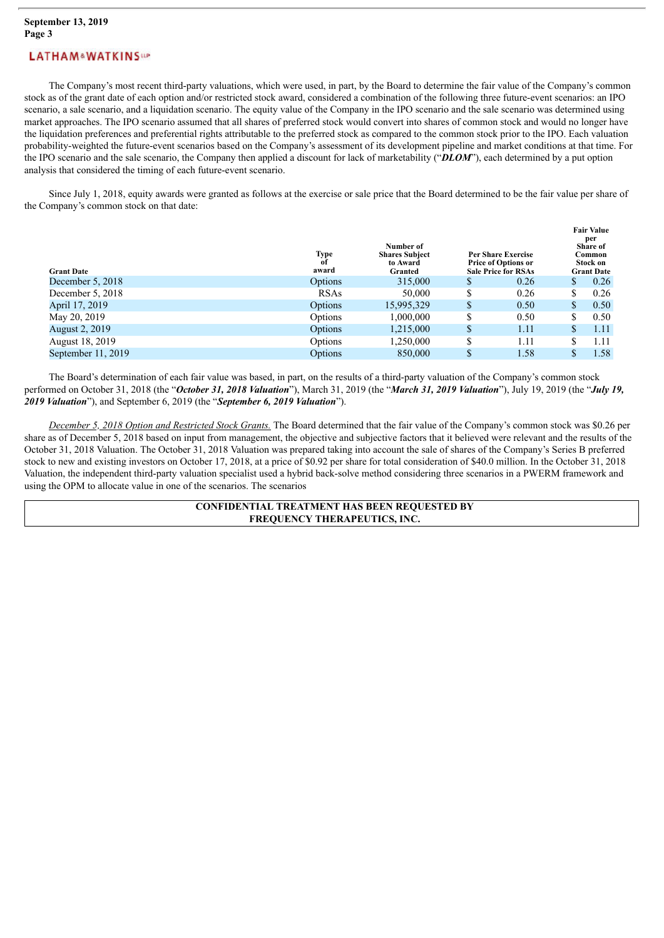The Company's most recent third-party valuations, which were used, in part, by the Board to determine the fair value of the Company's common stock as of the grant date of each option and/or restricted stock award, considered a combination of the following three future-event scenarios: an IPO scenario, a sale scenario, and a liquidation scenario. The equity value of the Company in the IPO scenario and the sale scenario was determined using market approaches. The IPO scenario assumed that all shares of preferred stock would convert into shares of common stock and would no longer have the liquidation preferences and preferential rights attributable to the preferred stock as compared to the common stock prior to the IPO. Each valuation probability-weighted the future-event scenarios based on the Company's assessment of its development pipeline and market conditions at that time. For the IPO scenario and the sale scenario, the Company then applied a discount for lack of marketability ("*DLOM*"), each determined by a put option analysis that considered the timing of each future-event scenario.

Since July 1, 2018, equity awards were granted as follows at the exercise or sale price that the Board determined to be the fair value per share of the Company's common stock on that date:

| <b>Grant Date</b>     | Type<br>of<br>award | Number of<br><b>Shares Subject</b><br>to Award<br>Granted |               | <b>Per Share Exercise</b><br><b>Price of Options or</b><br><b>Sale Price for RSAs</b> |    | <b>Fair Value</b><br>per<br><b>Share of</b><br>Common<br>Stock on<br><b>Grant Date</b> |  |
|-----------------------|---------------------|-----------------------------------------------------------|---------------|---------------------------------------------------------------------------------------|----|----------------------------------------------------------------------------------------|--|
| December 5, 2018      | Options             | 315,000                                                   | S             | 0.26                                                                                  | \$ | 0.26                                                                                   |  |
| December 5, 2018      | <b>RSAs</b>         | 50,000                                                    | S             | 0.26                                                                                  | \$ | 0.26                                                                                   |  |
| April 17, 2019        | Options             | 15,995,329                                                | <sup>\$</sup> | 0.50                                                                                  | \$ | 0.50                                                                                   |  |
| May 20, 2019          | Options             | 1,000,000                                                 | S             | 0.50                                                                                  | S  | 0.50                                                                                   |  |
| <b>August 2, 2019</b> | Options             | 1,215,000                                                 | <sup>\$</sup> | 1.11                                                                                  | \$ | 1.11                                                                                   |  |
| August 18, 2019       | Options             | 1,250,000                                                 | \$            | 1.11                                                                                  | S  | 1.11                                                                                   |  |
| September 11, 2019    | Options             | 850,000                                                   | \$            | 1.58                                                                                  |    | 1.58                                                                                   |  |

The Board's determination of each fair value was based, in part, on the results of a third-party valuation of the Company's common stock performed on October 31, 2018 (the "*October 31, 2018 Valuation*"), March 31, 2019 (the "*March 31, 2019 Valuation*"), July 19, 2019 (the "*July 19, 2019 Valuation*"), and September 6, 2019 (the "*September 6, 2019 Valuation*").

*December 5, 2018 Option and Restricted Stock Grants.* The Board determined that the fair value of the Company's common stock was \$0.26 per share as of December 5, 2018 based on input from management, the objective and subjective factors that it believed were relevant and the results of the October 31, 2018 Valuation. The October 31, 2018 Valuation was prepared taking into account the sale of shares of the Company's Series B preferred stock to new and existing investors on October 17, 2018, at a price of \$0.92 per share for total consideration of \$40.0 million. In the October 31, 2018 Valuation, the independent third-party valuation specialist used a hybrid back-solve method considering three scenarios in a PWERM framework and using the OPM to allocate value in one of the scenarios. The scenarios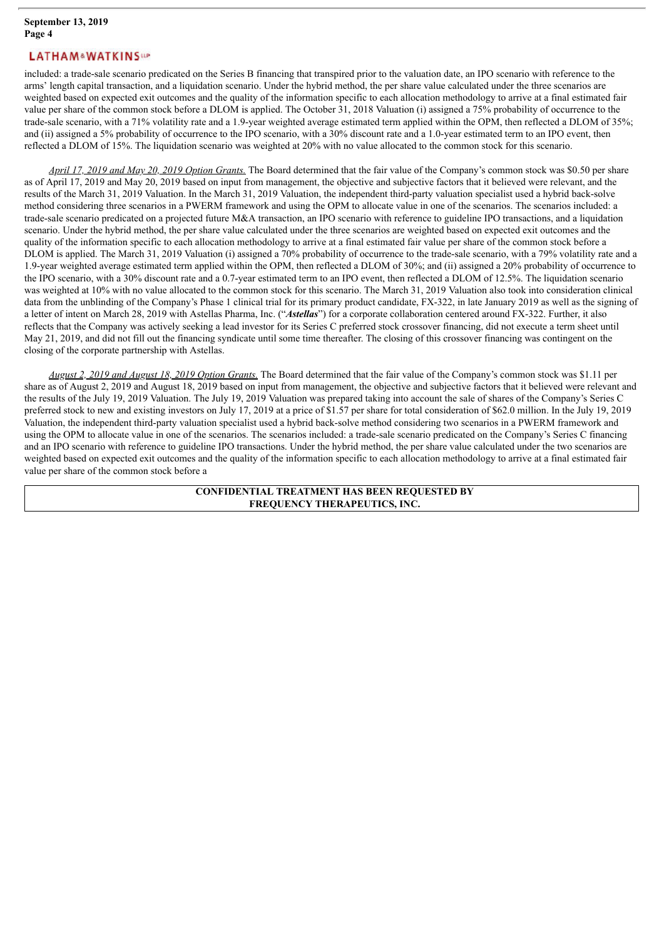included: a trade-sale scenario predicated on the Series B financing that transpired prior to the valuation date, an IPO scenario with reference to the arms' length capital transaction, and a liquidation scenario. Under the hybrid method, the per share value calculated under the three scenarios are weighted based on expected exit outcomes and the quality of the information specific to each allocation methodology to arrive at a final estimated fair value per share of the common stock before a DLOM is applied. The October 31, 2018 Valuation (i) assigned a 75% probability of occurrence to the trade-sale scenario, with a 71% volatility rate and a 1.9-year weighted average estimated term applied within the OPM, then reflected a DLOM of 35%; and (ii) assigned a 5% probability of occurrence to the IPO scenario, with a 30% discount rate and a 1.0-year estimated term to an IPO event, then reflected a DLOM of 15%. The liquidation scenario was weighted at 20% with no value allocated to the common stock for this scenario.

*April 17, 2019 and May 20, 2019 Option Grants.* The Board determined that the fair value of the Company's common stock was \$0.50 per share as of April 17, 2019 and May 20, 2019 based on input from management, the objective and subjective factors that it believed were relevant, and the results of the March 31, 2019 Valuation. In the March 31, 2019 Valuation, the independent third-party valuation specialist used a hybrid back-solve method considering three scenarios in a PWERM framework and using the OPM to allocate value in one of the scenarios. The scenarios included: a trade-sale scenario predicated on a projected future M&A transaction, an IPO scenario with reference to guideline IPO transactions, and a liquidation scenario. Under the hybrid method, the per share value calculated under the three scenarios are weighted based on expected exit outcomes and the quality of the information specific to each allocation methodology to arrive at a final estimated fair value per share of the common stock before a DLOM is applied. The March 31, 2019 Valuation (i) assigned a 70% probability of occurrence to the trade-sale scenario, with a 79% volatility rate and a 1.9-year weighted average estimated term applied within the OPM, then reflected a DLOM of 30%; and (ii) assigned a 20% probability of occurrence to the IPO scenario, with a 30% discount rate and a 0.7-year estimated term to an IPO event, then reflected a DLOM of 12.5%. The liquidation scenario was weighted at 10% with no value allocated to the common stock for this scenario. The March 31, 2019 Valuation also took into consideration clinical data from the unblinding of the Company's Phase 1 clinical trial for its primary product candidate, FX-322, in late January 2019 as well as the signing of a letter of intent on March 28, 2019 with Astellas Pharma, Inc. ("*Astellas*") for a corporate collaboration centered around FX-322. Further, it also reflects that the Company was actively seeking a lead investor for its Series C preferred stock crossover financing, did not execute a term sheet until May 21, 2019, and did not fill out the financing syndicate until some time thereafter. The closing of this crossover financing was contingent on the closing of the corporate partnership with Astellas.

*August 2, 2019 and August 18, 2019 Option Grants.* The Board determined that the fair value of the Company's common stock was \$1.11 per share as of August 2, 2019 and August 18, 2019 based on input from management, the objective and subjective factors that it believed were relevant and the results of the July 19, 2019 Valuation. The July 19, 2019 Valuation was prepared taking into account the sale of shares of the Company's Series C preferred stock to new and existing investors on July 17, 2019 at a price of \$1.57 per share for total consideration of \$62.0 million. In the July 19, 2019 Valuation, the independent third-party valuation specialist used a hybrid back-solve method considering two scenarios in a PWERM framework and using the OPM to allocate value in one of the scenarios. The scenarios included: a trade-sale scenario predicated on the Company's Series C financing and an IPO scenario with reference to guideline IPO transactions. Under the hybrid method, the per share value calculated under the two scenarios are weighted based on expected exit outcomes and the quality of the information specific to each allocation methodology to arrive at a final estimated fair value per share of the common stock before a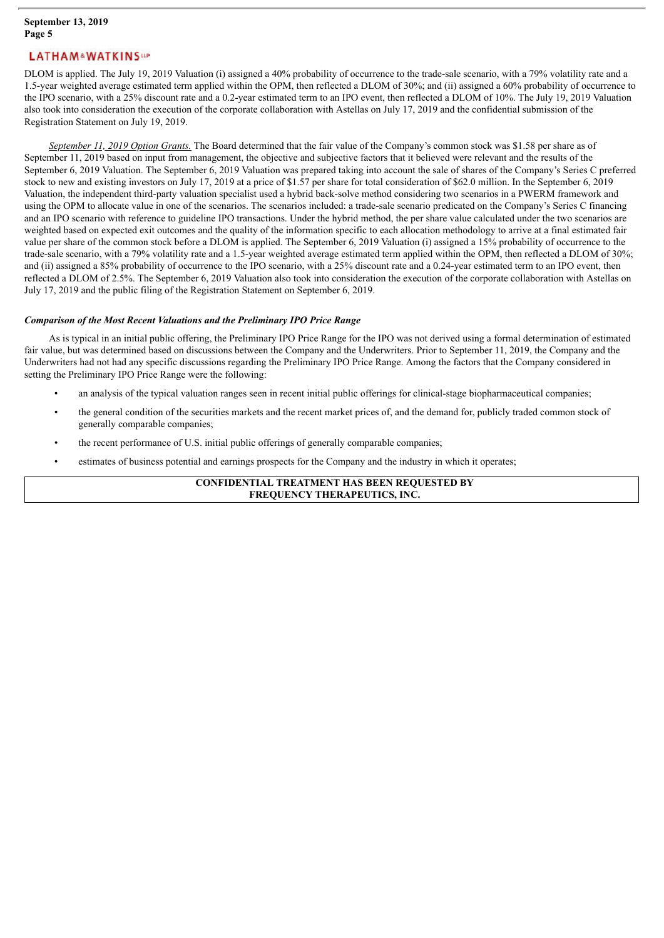DLOM is applied. The July 19, 2019 Valuation (i) assigned a 40% probability of occurrence to the trade-sale scenario, with a 79% volatility rate and a 1.5-year weighted average estimated term applied within the OPM, then reflected a DLOM of 30%; and (ii) assigned a 60% probability of occurrence to the IPO scenario, with a 25% discount rate and a 0.2-year estimated term to an IPO event, then reflected a DLOM of 10%. The July 19, 2019 Valuation also took into consideration the execution of the corporate collaboration with Astellas on July 17, 2019 and the confidential submission of the Registration Statement on July 19, 2019.

*September 11, 2019 Option Grants.* The Board determined that the fair value of the Company's common stock was \$1.58 per share as of September 11, 2019 based on input from management, the objective and subjective factors that it believed were relevant and the results of the September 6, 2019 Valuation. The September 6, 2019 Valuation was prepared taking into account the sale of shares of the Company's Series C preferred stock to new and existing investors on July 17, 2019 at a price of \$1.57 per share for total consideration of \$62.0 million. In the September 6, 2019 Valuation, the independent third-party valuation specialist used a hybrid back-solve method considering two scenarios in a PWERM framework and using the OPM to allocate value in one of the scenarios. The scenarios included: a trade-sale scenario predicated on the Company's Series C financing and an IPO scenario with reference to guideline IPO transactions. Under the hybrid method, the per share value calculated under the two scenarios are weighted based on expected exit outcomes and the quality of the information specific to each allocation methodology to arrive at a final estimated fair value per share of the common stock before a DLOM is applied. The September 6, 2019 Valuation (i) assigned a 15% probability of occurrence to the trade-sale scenario, with a 79% volatility rate and a 1.5-year weighted average estimated term applied within the OPM, then reflected a DLOM of 30%; and (ii) assigned a 85% probability of occurrence to the IPO scenario, with a 25% discount rate and a 0.24-year estimated term to an IPO event, then reflected a DLOM of 2.5%. The September 6, 2019 Valuation also took into consideration the execution of the corporate collaboration with Astellas on July 17, 2019 and the public filing of the Registration Statement on September 6, 2019.

#### *Comparison of the Most Recent Valuations and the Preliminary IPO Price Range*

As is typical in an initial public offering, the Preliminary IPO Price Range for the IPO was not derived using a formal determination of estimated fair value, but was determined based on discussions between the Company and the Underwriters. Prior to September 11, 2019, the Company and the Underwriters had not had any specific discussions regarding the Preliminary IPO Price Range. Among the factors that the Company considered in setting the Preliminary IPO Price Range were the following:

- an analysis of the typical valuation ranges seen in recent initial public offerings for clinical-stage biopharmaceutical companies;
- the general condition of the securities markets and the recent market prices of, and the demand for, publicly traded common stock of generally comparable companies;
- the recent performance of U.S. initial public offerings of generally comparable companies;
- estimates of business potential and earnings prospects for the Company and the industry in which it operates;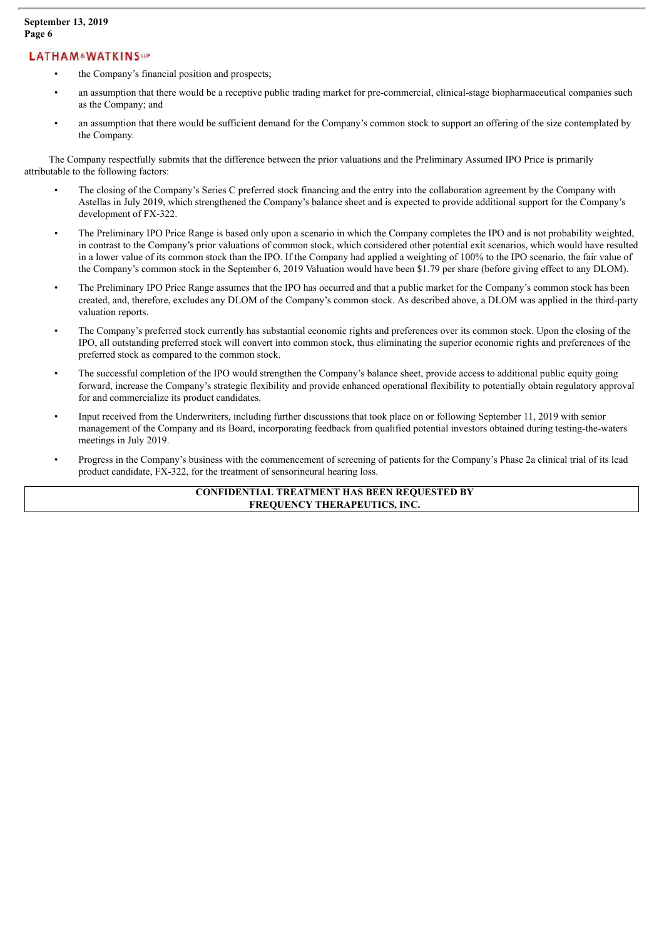- the Company's financial position and prospects;
- an assumption that there would be a receptive public trading market for pre-commercial, clinical-stage biopharmaceutical companies such as the Company; and
- an assumption that there would be sufficient demand for the Company's common stock to support an offering of the size contemplated by the Company.

The Company respectfully submits that the difference between the prior valuations and the Preliminary Assumed IPO Price is primarily attributable to the following factors:

- The closing of the Company's Series C preferred stock financing and the entry into the collaboration agreement by the Company with Astellas in July 2019, which strengthened the Company's balance sheet and is expected to provide additional support for the Company's development of FX-322.
- The Preliminary IPO Price Range is based only upon a scenario in which the Company completes the IPO and is not probability weighted, in contrast to the Company's prior valuations of common stock, which considered other potential exit scenarios, which would have resulted in a lower value of its common stock than the IPO. If the Company had applied a weighting of 100% to the IPO scenario, the fair value of the Company's common stock in the September 6, 2019 Valuation would have been \$1.79 per share (before giving effect to any DLOM).
- The Preliminary IPO Price Range assumes that the IPO has occurred and that a public market for the Company's common stock has been created, and, therefore, excludes any DLOM of the Company's common stock. As described above, a DLOM was applied in the third-party valuation reports.
- The Company's preferred stock currently has substantial economic rights and preferences over its common stock. Upon the closing of the IPO, all outstanding preferred stock will convert into common stock, thus eliminating the superior economic rights and preferences of the preferred stock as compared to the common stock.
- The successful completion of the IPO would strengthen the Company's balance sheet, provide access to additional public equity going forward, increase the Company's strategic flexibility and provide enhanced operational flexibility to potentially obtain regulatory approval for and commercialize its product candidates.
- Input received from the Underwriters, including further discussions that took place on or following September 11, 2019 with senior management of the Company and its Board, incorporating feedback from qualified potential investors obtained during testing-the-waters meetings in July 2019.
- Progress in the Company's business with the commencement of screening of patients for the Company's Phase 2a clinical trial of its lead product candidate, FX-322, for the treatment of sensorineural hearing loss.